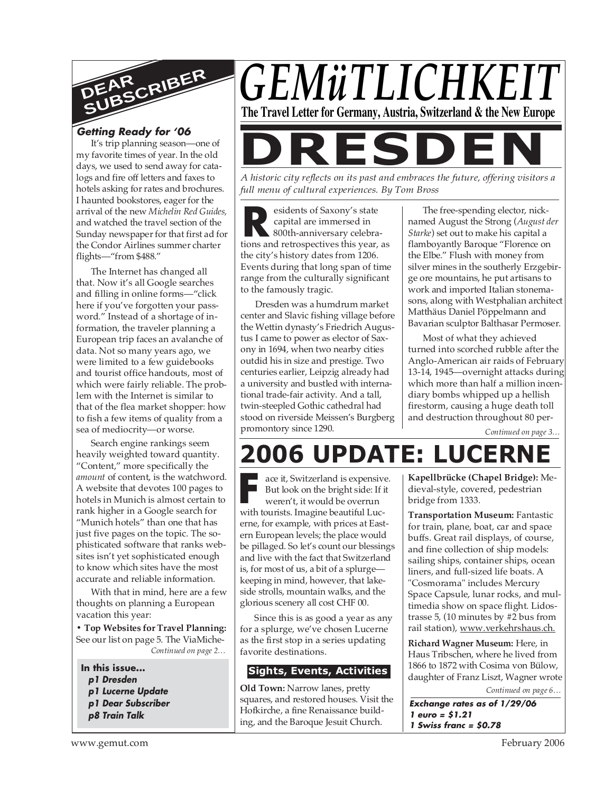

## **Getting Ready for '06**

It's trip planning season—one of my favorite times of year. In the old days, we used to send away for catalogs and fire off letters and faxes to hotels asking for rates and brochures. I haunted bookstores, eager for the arrival of the new *Michelin Red Guides,* and watched the travel section of the Sunday newspaper for that first ad for the Condor Airlines summer charter flights—"from \$488."

The Internet has changed all that. Now it's all Google searches and filling in online forms—"click here if you've forgotten your password." Instead of a shortage of information, the traveler planning a European trip faces an avalanche of data. Not so many years ago, we were limited to a few guidebooks and tourist office handouts, most of which were fairly reliable. The problem with the Internet is similar to that of the flea market shopper: how to fish a few items of quality from a sea of mediocrity—or worse.

Search engine rankings seem heavily weighted toward quantity. "Content," more specifically the *amount* of content, is the watchword. A website that devotes 100 pages to hotels in Munich is almost certain to rank higher in a Google search for "Munich hotels" than one that has just five pages on the topic. The sophisticated software that ranks websites isn't yet sophisticated enough to know which sites have the most accurate and reliable information.

With that in mind, here are a few thoughts on planning a European vacation this year:

*Continued on page 2…* **• Top Websites for Travel Planning:** See our list on page 5. The ViaMiche-

#### **In this issue... p1 Dresden p1 Lucerne Update**

- **p1 Dear Subscriber**
- **p8 Train Talk**



*A historic city reflects on its past and embraces the future, offering visitors a full menu of cultural experiences. By Tom Bross*

**R R**seidents of Saxony's state<br>
capital are immersed in<br>
800th-anniversary celebra-<br>
tions and retrospectives this year, as esidents of Saxony's state capital are immersed in 800th-anniversary celebrathe city's history dates from 1206. Events during that long span of time range from the culturally significant to the famously tragic.

Dresden was a humdrum market center and Slavic fishing village before the Wettin dynasty's Friedrich Augustus I came to power as elector of Saxony in 1694, when two nearby cities outdid his in size and prestige. Two centuries earlier, Leipzig already had a university and bustled with international trade-fair activity. And a tall, twin-steepled Gothic cathedral had stood on riverside Meissen's Burgberg promontory since 1290.

The free-spending elector, nicknamed August the Strong (*August der Starke*) set out to make his capital a flamboyantly Baroque "Florence on the Elbe." Flush with money from silver mines in the southerly Erzgebirge ore mountains, he put artisans to work and imported Italian stonemasons, along with Westphalian architect Matthäus Daniel Pöppelmann and Bavarian sculptor Balthasar Permoser.

Most of what they achieved turned into scorched rubble after the Anglo-American air raids of February 13-14, 1945—overnight attacks during which more than half a million incendiary bombs whipped up a hellish firestorm, causing a huge death toll and destruction throughout 80 per-

*Continued on page 3…*

# **2006 UPDATE: LUCERNE**

ace it, Switzerland is expensively<br>But look on the bright side: If if<br>weren't, it would be overrun<br>with tourists. Imagine beautiful Lucace it, Switzerland is expensive. But look on the bright side: If it weren't, it would be overrun erne, for example, with prices at Eastern European levels; the place would be pillaged. So let's count our blessings and live with the fact that Switzerland is, for most of us, a bit of a splurge keeping in mind, however, that lakeside strolls, mountain walks, and the glorious scenery all cost CHF 00.

Since this is as good a year as any for a splurge, we've chosen Lucerne as the first stop in a series updating favorite destinations.

#### **Sights, Events, Activities**

**Old Town:** Narrow lanes, pretty squares, and restored houses. Visit the Hofkirche, a fine Renaissance building, and the Baroque Jesuit Church.

**Kapellbrücke (Chapel Bridge):** Medieval-style, covered, pedestrian bridge from 1333.

**Transportation Museum:** Fantastic for train, plane, boat, car and space buffs. Great rail displays, of course, and fine collection of ship models: sailing ships, container ships, ocean liners, and full-sized life boats. A "Cosmorama" includes Mercury Space Capsule, lunar rocks, and multimedia show on space flight. Lidostrasse 5, (10 minutes by #2 bus from rail station), www.verkehrshaus.ch.

**Richard Wagner Museum:** Here, in Haus Tribschen, where he lived from 1866 to 1872 with Cosima von Bülow, daughter of Franz Liszt, Wagner wrote

*Continued on page 6…*

**Exchange rates as of 1/29/06 1 euro = \$1.21 1 Swiss franc = \$0.78**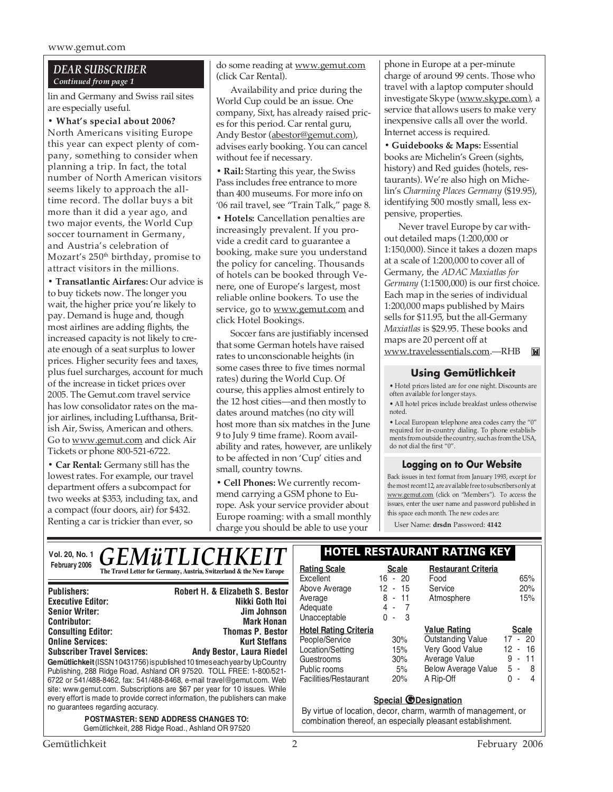www.gemut.com

#### *DEAR SUBSCRIBER Continued from page 1*

lin and Germany and Swiss rail sites are especially useful.

**• What's special about 2006?** North Americans visiting Europe this year can expect plenty of company, something to consider when planning a trip. In fact, the total number of North American visitors seems likely to approach the alltime record. The dollar buys a bit more than it did a year ago, and two major events, the World Cup soccer tournament in Germany, and Austria's celebration of Mozart's 250<sup>th</sup> birthday, promise to attract visitors in the millions.

**• Transatlantic Airfares:** Our advice is to buy tickets now. The longer you wait, the higher price you're likely to pay. Demand is huge and, though most airlines are adding flights, the increased capacity is not likely to create enough of a seat surplus to lower prices. Higher security fees and taxes, plus fuel surcharges, account for much of the increase in ticket prices over 2005. The Gemut.com travel service has low consolidator rates on the major airlines, including Lufthansa, British Air, Swiss, American and others. Go to www.gemut.com and click Air Tickets or phone 800-521-6722.

**• Car Rental:** Germany still has the lowest rates. For example, our travel department offers a subcompact for two weeks at \$353, including tax, and a compact (four doors, air) for \$432. Renting a car is trickier than ever, so

do some reading at www.gemut.com (click Car Rental).

Availability and price during the World Cup could be an issue. One company, Sixt, has already raised prices for this period. Car rental guru, Andy Bestor (abestor@gemut.com), advises early booking. You can cancel without fee if necessary.

**• Rail:** Starting this year, the Swiss Pass includes free entrance to more than 400 museums. For more info on '06 rail travel, see "Train Talk," page 8.

**• Hotels:** Cancellation penalties are increasingly prevalent. If you provide a credit card to guarantee a booking, make sure you understand the policy for canceling. Thousands of hotels can be booked through Venere, one of Europe's largest, most reliable online bookers. To use the service, go to www.gemut.com and click Hotel Bookings.

Soccer fans are justifiably incensed that some German hotels have raised rates to unconscionable heights (in some cases three to five times normal rates) during the World Cup. Of course, this applies almost entirely to the 12 host cities—and then mostly to dates around matches (no city will host more than six matches in the June 9 to July 9 time frame). Room availability and rates, however, are unlikely to be affected in non 'Cup' cities and small, country towns.

**• Cell Phones:** We currently recommend carrying a GSM phone to Europe. Ask your service provider about Europe roaming: with a small monthly charge you should be able to use your

phone in Europe at a per-minute charge of around 99 cents. Those who travel with a laptop computer should investigate Skype (www.skype.com), a service that allows users to make very inexpensive calls all over the world. Internet access is required.

**• Guidebooks & Maps:** Essential books are Michelin's Green (sights, history) and Red guides (hotels, restaurants). We're also high on Michelin's *Charming Places Germany* (\$19.95), identifying 500 mostly small, less expensive, properties.

Never travel Europe by car without detailed maps (1:200,000 or 1:150,000). Since it takes a dozen maps at a scale of 1:200,000 to cover all of Germany, the *ADAC Maxiatlas for Germany* (1:1500,000) is our first choice. Each map in the series of individual 1:200,000 maps published by Mairs sells for \$11.95, but the all-Germany *Maxiatlas* is \$29.95. These books and maps are 20 percent off at www.travelessentials.com.—RHB

#### **Using Gemütlichkeit**

• Hotel prices listed are for one night. Discounts are often available for longer stays.

• All hotel prices include breakfast unless otherwise noted.

• Local European telephone area codes carry the "0" required for in-country dialing. To phone establishments from outside the country, such as from the USA, do not dial the first "0".

#### **Logging on to Our Website**

Back issues in text format from January 1993, except for the most recent 12, are available free to subscribers only at www.gemut.com (click on "Members"). To access the issues, enter the user name and password published in this space each month. The new codes are:

User Name: **drsdn** Password: **4142**

| <b>GEMÜTLICHKEIT</b><br>Vol. 20, No. 1                                                                                                                                                                                                                                                                                                                                                                                                                                                | <b>HOTEL RESTAURANT RATING KEY</b>                                                                                                                         |                                              |                                                                                                                                |                                                                              |
|---------------------------------------------------------------------------------------------------------------------------------------------------------------------------------------------------------------------------------------------------------------------------------------------------------------------------------------------------------------------------------------------------------------------------------------------------------------------------------------|------------------------------------------------------------------------------------------------------------------------------------------------------------|----------------------------------------------|--------------------------------------------------------------------------------------------------------------------------------|------------------------------------------------------------------------------|
| February 2006<br>The Travel Letter for Germany, Austria, Switzerland & the New Europe                                                                                                                                                                                                                                                                                                                                                                                                 | <b>Rating Scale</b><br>Excellent                                                                                                                           | <b>Scale</b><br>$16 - 20$                    | <b>Restaurant Criteria</b><br>Food                                                                                             | 65%                                                                          |
| Robert H. & Elizabeth S. Bestor<br><b>Publishers:</b><br>Nikki Goth Itoi<br><b>Executive Editor:</b><br><b>Senior Writer:</b><br>Jim Johnson<br><b>Mark Honan</b><br><b>Contributor:</b>                                                                                                                                                                                                                                                                                              | Above Average<br>Average<br>Adequate<br>Unacceptable                                                                                                       | 12 -<br>15<br>$8 - 11$<br>$4 - 7$<br>$0 - 3$ | Service<br>Atmosphere                                                                                                          | 20%<br>15%                                                                   |
| <b>Thomas P. Bestor</b><br><b>Consulting Editor:</b><br><b>Online Services:</b><br><b>Kurt Steffans</b><br><b>Subscriber Travel Services:</b><br>Andy Bestor, Laura Riedel<br>Gemütlichkeit (ISSN 10431756) is published 10 times each year by UpCountry<br>Publishing, 288 Ridge Road, Ashland OR 97520. TOLL FREE: 1-800/521-<br>6722 or 541/488-8462, fax: 541/488-8468, e-mail travel@gemut.com. Web<br>site: www.gemut.com. Subscriptions are \$67 per year for 10 issues. While | <b>Hotel Rating Criteria</b><br>People/Service<br>Location/Setting<br>Guestrooms<br>Public rooms<br>Facilities/Restaurant                                  | 30%<br>15%<br>30%<br>5%<br>20%               | <b>Value Rating</b><br><b>Outstanding Value</b><br>Very Good Value<br>Average Value<br><b>Below Average Value</b><br>A Rip-Off | <b>Scale</b><br>$17 - 20$<br>$12 - 16$<br>$-11$<br>9<br>$5 - 8$<br>0<br>$-4$ |
| every effort is made to provide correct information, the publishers can make<br>no guarantees regarding accuracy.<br><b>POSTMASTER: SEND ADDRESS CHANGES TO:</b><br>Gemütlichkeit, 288 Ridge Road., Ashland OR 97520                                                                                                                                                                                                                                                                  | <b>Special @Designation</b><br>By virtue of location, decor, charm, warmth of management, or<br>combination thereof, an especially pleasant establishment. |                                              |                                                                                                                                |                                                                              |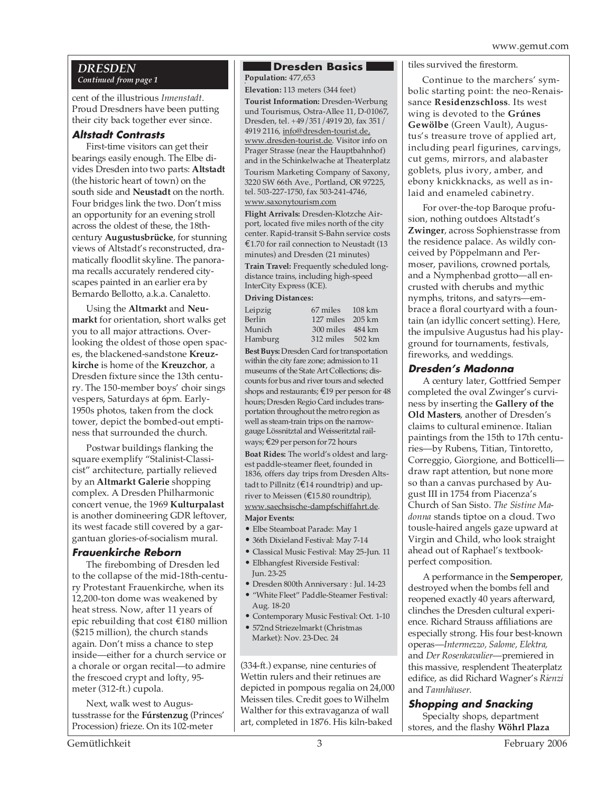#### *DRESDEN Continued from page 1*

cent of the illustrious *Innenstadt*. Proud Dresdners have been putting their city back together ever since.

#### **Altstadt Contrasts**

First-time visitors can get their bearings easily enough. The Elbe divides Dresden into two parts: **Altstadt** (the historic heart of town) on the south side and **Neustadt** on the north. Four bridges link the two. Don't miss an opportunity for an evening stroll across the oldest of these, the 18thcentury **Augustusbrücke**, for stunning views of Altstadt's reconstructed, dramatically floodlit skyline. The panorama recalls accurately rendered cityscapes painted in an earlier era by Bernardo Bellotto, a.k.a. Canaletto.

Using the **Altmarkt** and **Neumarkt** for orientation, short walks get you to all major attractions. Overlooking the oldest of those open spaces, the blackened-sandstone **Kreuzkirche** is home of the **Kreuzchor**, a Dresden fixture since the 13th century. The 150-member boys' choir sings vespers, Saturdays at 6pm. Early-1950s photos, taken from the clock tower, depict the bombed-out emptiness that surrounded the church.

Postwar buildings flanking the square exemplify "Stalinist-Classicist" architecture, partially relieved by an **Altmarkt Galerie** shopping complex. A Dresden Philharmonic concert venue, the 1969 **Kulturpalast** is another domineering GDR leftover, its west facade still covered by a gargantuan glories-of-socialism mural.

#### **Frauenkirche Reborn**

The firebombing of Dresden led to the collapse of the mid-18th-century Protestant Frauenkirche, when its 12,200-ton dome was weakened by heat stress. Now, after 11 years of epic rebuilding that cost €180 million (\$215 million), the church stands again. Don't miss a chance to step inside—either for a church service or a chorale or organ recital—to admire the frescoed crypt and lofty, 95 meter (312-ft.) cupola.

Next, walk west to Augustusstrasse for the **Fúrstenzug** (Princes' Procession) frieze. On its 102-meter

# **Dresden Basics**

. **Population:** 477,653 **Elevation:** 113 meters (344 feet)

**Tourist Information:** Dresden-Werbung und Tourismus, Ostra-Allee 11, D-01067, Dresden, tel. +49/351/4919 20, fax 351/ 4919 2116, info@dresden-tourist.de, www.dresden-tourist.de. Visitor info on Prager Strasse (near the Hauptbahnhof) and in the Schinkelwache at Theaterplatz

Tourism Marketing Company of Saxony, 3220 SW 66th Ave., Portland, OR 97225, tel. 503-227-1750, fax 503-241-4746, www.saxonytourism.com

**Flight Arrivals:** Dresden-Klotzche Airport, located five miles north of the city center. Rapid-transit S-Bahn service costs €1.70 for rail connection to Neustadt (13 minutes) and Dresden (21 minutes) **Train Travel:** Frequently scheduled longdistance trains, including high-speed InterCity Express (ICE).

#### **Driving Distances:**

| 67 miles 108 km      |  |
|----------------------|--|
| $127$ miles $205$ km |  |
| 300 miles 484 km     |  |
| 312 miles 502 km     |  |
|                      |  |

**Best Buys:** Dresden Card for transportation within the city fare zone; admission to 11 museums of the State Art Collections; discounts for bus and river tours and selected shops and restaurants; €19 per person for 48 hours; Dresden Regio Card includes transportation throughout the metro region as well as steam-train trips on the narrowgauge Lössnitztal and Weisseritztal railways; €29 per person for 72 hours

**Boat Rides:** The world's oldest and largest paddle-steamer fleet, founded in 1836, offers day trips from Dresden Altstadt to Pillnitz ( $\text{\textsterling}14$  roundtrip) and upriver to Meissen (€15.80 roundtrip), www.saechsische-dampfschiffahrt.de.

#### **Major Events:**

- Elbe Steamboat Parade: May 1
- 36th Dixieland Festival: May 7-14
- Classical Music Festival: May 25-Jun. 11
- Elbhangfest Riverside Festival: Jun. 23-25
- Dresden 800th Anniversary : Jul. 14-23
- "White Fleet" Paddle-Steamer Festival: Aug. 18-20
- Contemporary Music Festival: Oct. 1-10
- 572nd Striezelmarkt (Christmas Market): Nov. 23-Dec. 24

(334-ft.) expanse, nine centuries of Wettin rulers and their retinues are depicted in pompous regalia on 24,000 Meissen tiles. Credit goes to Wilhelm Walther for this extravaganza of wall art, completed in 1876. His kiln-baked

#### tiles survived the firestorm.

Continue to the marchers' symbolic starting point: the neo-Renaissance **Residenzschloss**. Its west wing is devoted to the **Grúnes Gewölbe** (Green Vault), Augustus's treasure trove of applied art, including pearl figurines, carvings, cut gems, mirrors, and alabaster goblets, plus ivory, amber, and ebony knickknacks, as well as inlaid and enameled cabinetry.

For over-the-top Baroque profusion, nothing outdoes Altstadt's **Zwinger**, across Sophienstrasse from the residence palace. As wildly conceived by Pöppelmann and Permoser, pavilions, crowned portals, and a Nymphenbad grotto—all encrusted with cherubs and mythic nymphs, tritons, and satyrs—embrace a floral courtyard with a fountain (an idyllic concert setting). Here, the impulsive Augustus had his playground for tournaments, festivals, fireworks, and weddings.

#### **Dresden's Madonna**

A century later, Gottfried Semper completed the oval Zwinger's curviness by inserting the **Gallery of the Old Masters**, another of Dresden's claims to cultural eminence. Italian paintings from the 15th to 17th centuries—by Rubens, Titian, Tintoretto, Correggio, Giorgione, and Botticelli draw rapt attention, but none more so than a canvas purchased by August III in 1754 from Piacenza's Church of San Sisto. *The Sistine Madonna* stands tiptoe on a cloud. Two tousle-haired angels gaze upward at Virgin and Child, who look straight ahead out of Raphael's textbookperfect composition.

A performance in the **Semperoper**, destroyed when the bombs fell and reopened exactly 40 years afterward, clinches the Dresden cultural experience. Richard Strauss affiliations are especially strong. His four best-known operas—*Intermezzo, Salome, Elektra,* and *Der Rosenkavalier*—premiered in this massive, resplendent Theaterplatz edifice, as did Richard Wagner's *Rienzi* and *Tannhäuser*.

### **Shopping and Snacking**

Specialty shops, department stores, and the flashy **Wöhrl Plaza**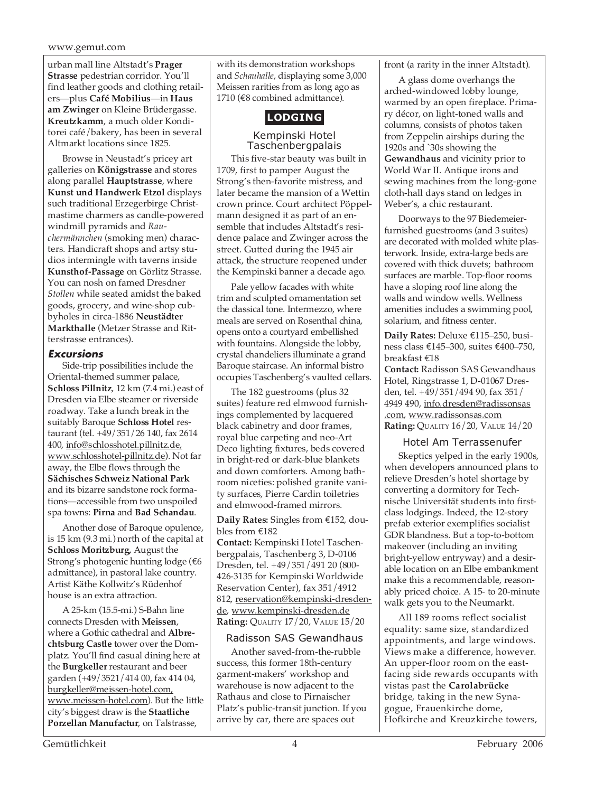#### www.gemut.com

urban mall line Altstadt's **Prager Strasse** pedestrian corridor. You'll find leather goods and clothing retailers—plus **Café Mobilius**—in **Haus am Zwinger** on Kleine Brüdergasse. **Kreutzkamm**, a much older Konditorei café/bakery, has been in several Altmarkt locations since 1825.

Browse in Neustadt's pricey art galleries on **Königstrasse** and stores along parallel **Hauptstrasse**, where **Kunst und Handwerk Etzol** displays such traditional Erzegerbirge Christmastime charmers as candle-powered windmill pyramids and *Rauchermännchen* (smoking men) characters. Handicraft shops and artsy studios intermingle with taverns inside **Kunsthof-Passage** on Görlitz Strasse. You can nosh on famed Dresdner *Stollen* while seated amidst the baked goods, grocery, and wine-shop cubbyholes in circa-1886 **Neustädter Markthalle** (Metzer Strasse and Ritterstrasse entrances).

#### **Excursions**

Side-trip possibilities include the Oriental-themed summer palace, **Schloss Pillnitz**, 12 km (7.4 mi.) east of Dresden via Elbe steamer or riverside roadway. Take a lunch break in the suitably Baroque **Schloss Hotel** restaurant (tel. +49/351/26 140, fax 2614 400, info@schlosshotel.pillnitz.de, www.schlosshotel-pillnitz.de). Not far away, the Elbe flows through the **Sächisches Schweiz National Park** and its bizarre sandstone rock formations—accessible from two unspoiled spa towns: **Pirna** and **Bad Schandau**.

Another dose of Baroque opulence, is 15 km (9.3 mi.) north of the capital at **Schloss Moritzburg,** August the Strong's photogenic hunting lodge (€6 admittance), in pastoral lake country. Artist Käthe Kollwitz's Rüdenhof house is an extra attraction.

A 25-km (15.5-mi.) S-Bahn line connects Dresden with **Meissen**, where a Gothic cathedral and **Albrechtsburg Castle** tower over the Domplatz. You'll find casual dining here at the **Burgkeller** restaurant and beer garden (+49/3521/414 00, fax 414 04, burgkeller@meissen-hotel.com, www.meissen-hotel.com). But the little city's biggest draw is the **Staatliche Porzellan Manufactur**, on Talstrasse,

with its demonstration workshops and *Schauhalle*, displaying some 3,000 Meissen rarities from as long ago as 1710 (€8 combined admittance).

# **LODGING**

Kempinski Hotel Taschenbergpalais

This five-star beauty was built in 1709, first to pamper August the Strong's then-favorite mistress, and later became the mansion of a Wettin crown prince. Court architect Pöppelmann designed it as part of an ensemble that includes Altstadt's residence palace and Zwinger across the street. Gutted during the 1945 air attack, the structure reopened under the Kempinski banner a decade ago.

Pale yellow facades with white trim and sculpted ornamentation set the classical tone. Intermezzo, where meals are served on Rosenthal china, opens onto a courtyard embellished with fountains. Alongside the lobby, crystal chandeliers illuminate a grand Baroque staircase. An informal bistro occupies Taschenberg's vaulted cellars.

The 182 guestrooms (plus 32 suites) feature red elmwood furnishings complemented by lacquered black cabinetry and door frames, royal blue carpeting and neo-Art Deco lighting fixtures, beds covered in bright-red or dark-blue blankets and down comforters. Among bathroom niceties: polished granite vanity surfaces, Pierre Cardin toiletries and elmwood-framed mirrors.

**Daily Rates:** Singles from €152, doubles from €182

**Contact:** Kempinski Hotel Taschenbergpalais, Taschenberg 3, D-0106 Dresden, tel. +49/351/491 20 (800- 426-3135 for Kempinski Worldwide Reservation Center), fax 351/4912 812, reservation@kempinski-dresdende, www.kempinski-dresden.de **Rating:** QUALITY 17/20, VALUE 15/20

#### Radisson SAS Gewandhaus

Another saved-from-the-rubble success, this former 18th-century garment-makers' workshop and warehouse is now adjacent to the Rathaus and close to Pirnaischer Platz's public-transit junction. If you arrive by car, there are spaces out

front (a rarity in the inner Altstadt).

A glass dome overhangs the arched-windowed lobby lounge, warmed by an open fireplace. Primary décor, on light-toned walls and columns, consists of photos taken from Zeppelin airships during the 1920s and `30s showing the **Gewandhaus** and vicinity prior to World War II. Antique irons and sewing machines from the long-gone cloth-hall days stand on ledges in Weber's, a chic restaurant.

Doorways to the 97 Biedemeierfurnished guestrooms (and 3 suites) are decorated with molded white plasterwork. Inside, extra-large beds are covered with thick duvets; bathroom surfaces are marble. Top-floor rooms have a sloping roof line along the walls and window wells. Wellness amenities includes a swimming pool, solarium, and fitness center.

**Daily Rates:** Deluxe €115–250, business class €145–300, suites €400–750, breakfast €18

**Contact:** Radisson SAS Gewandhaus Hotel, Ringstrasse 1, D-01067 Dresden, tel. +49/351/494 90, fax 351/ 4949 490, info.dresden@radissonsas .com, www.radissonsas.com **Rating:** QUALITY 16/20, VALUE 14/20

#### Hotel Am Terrassenufer

Skeptics yelped in the early 1900s, when developers announced plans to relieve Dresden's hotel shortage by converting a dormitory for Technische Universität students into firstclass lodgings. Indeed, the 12-story prefab exterior exemplifies socialist GDR blandness. But a top-to-bottom makeover (including an inviting bright-yellow entryway) and a desirable location on an Elbe embankment make this a recommendable, reasonably priced choice. A 15- to 20-minute walk gets you to the Neumarkt.

All 189 rooms reflect socialist equality: same size, standardized appointments, and large windows. Views make a difference, however. An upper-floor room on the eastfacing side rewards occupants with vistas past the **Carolabrücke** bridge, taking in the new Synagogue, Frauenkirche dome, Hofkirche and Kreuzkirche towers,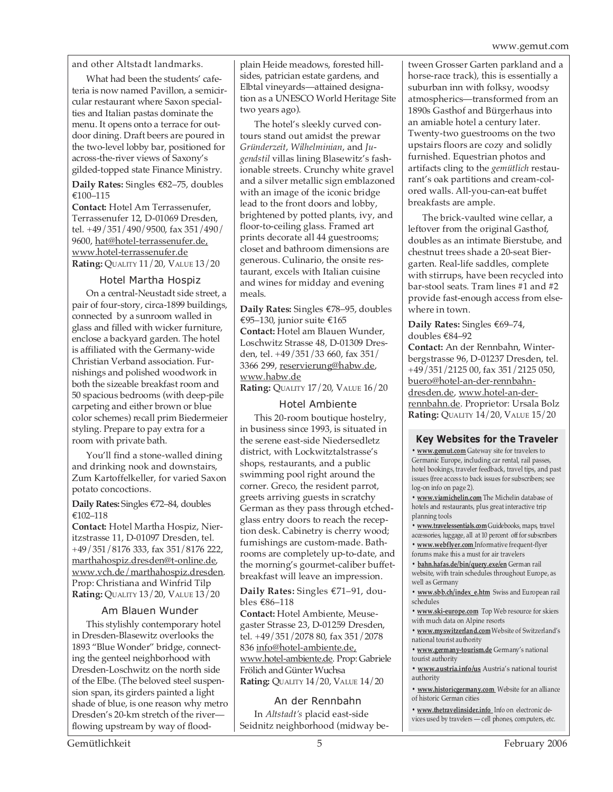and other Altstadt landmarks.

What had been the students' cafeteria is now named Pavillon, a semicircular restaurant where Saxon specialties and Italian pastas dominate the menu. It opens onto a terrace for outdoor dining. Draft beers are poured in the two-level lobby bar, positioned for across-the-river views of Saxony's gilded-topped state Finance Ministry.

**Daily Rates:** Singles €82–75, doubles €100–115

**Contact:** Hotel Am Terrassenufer, Terrassenufer 12, D-01069 Dresden, tel. +49/351/490/9500, fax 351/490/ 9600, hat@hotel-terrassenufer.de, www.hotel-terrassenufer.de **Rating:** QUALITY 11/20, VALUE 13/20

#### Hotel Martha Hospiz

On a central-Neustadt side street, a pair of four-story, circa-1899 buildings, connected by a sunroom walled in glass and filled with wicker furniture, enclose a backyard garden. The hotel is affiliated with the Germany-wide Christian Verband association. Furnishings and polished woodwork in both the sizeable breakfast room and 50 spacious bedrooms (with deep-pile carpeting and either brown or blue color schemes) recall prim Biedermeier styling. Prepare to pay extra for a room with private bath.

You'll find a stone-walled dining and drinking nook and downstairs, Zum Kartoffelkeller, for varied Saxon potato concoctions.

**Daily Rates:** Singles €72–84, doubles €102–118

**Contact:** Hotel Martha Hospiz, Nieritzstrasse 11, D-01097 Dresden, tel. +49/351/8176 333, fax 351/8176 222, marthahospiz.dresden@t-online.de, www.vch.de/marthahospiz.dresden. Prop: Christiana and Winfrid Tilp **Rating:** QUALITY 13/20, VALUE 13/20

#### Am Blauen Wunder

This stylishly contemporary hotel in Dresden-Blasewitz overlooks the 1893 "Blue Wonder" bridge, connecting the genteel neighborhood with Dresden-Loschwitz on the north side of the Elbe. (The beloved steel suspension span, its girders painted a light shade of blue, is one reason why metro Dresden's 20-km stretch of the river flowing upstream by way of flood-

plain Heide meadows, forested hillsides, patrician estate gardens, and Elbtal vineyards—attained designation as a UNESCO World Heritage Site two years ago).

The hotel's sleekly curved contours stand out amidst the prewar *Gründerzeit*, *Wilhelminian*, and *Jugendstil* villas lining Blasewitz's fashionable streets. Crunchy white gravel and a silver metallic sign emblazoned with an image of the iconic bridge lead to the front doors and lobby, brightened by potted plants, ivy, and floor-to-ceiling glass. Framed art prints decorate all 44 guestrooms; closet and bathroom dimensions are generous. Culinario, the onsite restaurant, excels with Italian cuisine and wines for midday and evening meals.

**Daily Rates:** Singles €78–95, doubles €95–130, junior suite €165 **Contact:** Hotel am Blauen Wunder, Loschwitz Strasse 48, D-01309 Dresden, tel. +49/351/33 660, fax 351/ 3366 299, reservierung@habw.de, www.habw.de

**Rating:** QUALITY 17/20, VALUE 16/20

#### Hotel Ambiente

This 20-room boutique hostelry, in business since 1993, is situated in the serene east-side Niedersedletz district, with Lockwitztalstrasse's shops, restaurants, and a public swimming pool right around the corner. Greco, the resident parrot, greets arriving guests in scratchy German as they pass through etchedglass entry doors to reach the reception desk. Cabinetry is cherry wood; furnishings are custom-made. Bathrooms are completely up-to-date, and the morning's gourmet-caliber buffetbreakfast will leave an impression.

**Daily Rates:** Singles €71–91, doubles €86–118

**Contact:** Hotel Ambiente, Meusegaster Strasse 23, D-01259 Dresden, tel. +49/351/2078 80, fax 351/2078 836 info@hotel-ambiente.de, www.hotel-ambiente.de. Prop: Gabriele Frölich and Günter Wuchsa **Rating:** QUALITY 14/20, VALUE 14/20

#### An der Rennbahn

In *Altstadt's* placid east-side Seidnitz neighborhood (midway be-

tween Grosser Garten parkland and a horse-race track), this is essentially a suburban inn with folksy, woodsy atmospherics—transformed from an 1890s Gasthof and Bürgerhaus into an amiable hotel a century later. Twenty-two guestrooms on the two upstairs floors are cozy and solidly furnished. Equestrian photos and artifacts cling to the *gemütlich* restaurant's oak partitions and cream-colored walls. All-you-can-eat buffet breakfasts are ample.

The brick-vaulted wine cellar, a leftover from the original Gasthof, doubles as an intimate Bierstube, and chestnut trees shade a 20-seat Biergarten. Real-life saddles, complete with stirrups, have been recycled into bar-stool seats. Tram lines #1 and #2 provide fast-enough access from elsewhere in town.

**Daily Rates:** Singles €69–74, doubles €84–92

**Contact:** An der Rennbahn, Winterbergstrasse 96, D-01237 Dresden, tel. +49/351/2125 00, fax 351/2125 050, buero@hotel-an-der-rennbahndresden.de, www.hotel-an-derrennbahn.de. Proprietor: Ursala Bolz **Rating:** QUALITY 14/20, VALUE 15/20

#### **Key Websites for the Traveler**

**• www.gemut.com** Gateway site for travelers to Germanic Europe, including car rental, rail passes, hotel bookings, traveler feedback, travel tips, and past issues (free access to back issues for subscribers; see log-on info on page 2).

**• www.viamichelin.com** The Michelin database of hotels and restaurants, plus great interactive trip planning tools

**• www.travelessentials.com** Guidebooks, maps, travel accessories, luggage, all at 10 percent off for subscribers **• www.webflyer.com** Informative frequent-flyer forums make this a must for air travelers

**• bahn.hafas.de/bin/query.exe/en** German rail website, with train schedules throughout Europe, as well as Germany

**• www.sbb.ch/index\_e.htm** Swiss and European rail schedules

**• www.ski-europe.com** Top Web resource for skiers with much data on Alpine resorts

**• www.myswitzerland.com** Website of Switzerland's national tourist authority

**• www.germany-tourism.de** Germany's national tourist authority

**• www.austria.info/us** Austria's national tourist authority

**• www.historicgermany.com** Website for an alliance of historic German cities

**• www.thetravelinsider.info** Info on electronic devices used by travelers — cell phones, computers, etc.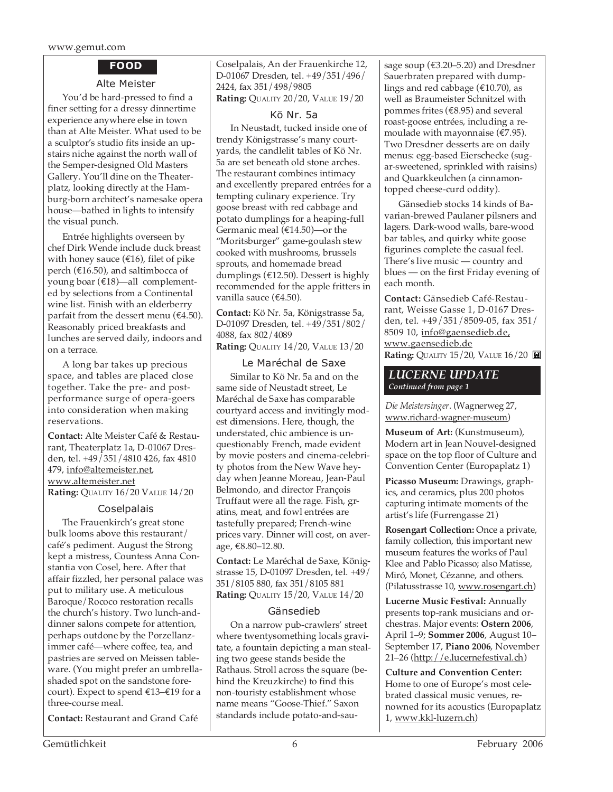www.gemut.com

#### **FOOD**

#### Alte Meister

You'd be hard-pressed to find a finer setting for a dressy dinnertime experience anywhere else in town than at Alte Meister. What used to be a sculptor's studio fits inside an upstairs niche against the north wall of the Semper-designed Old Masters Gallery. You'll dine on the Theaterplatz, looking directly at the Hamburg-born architect's namesake opera house—bathed in lights to intensify the visual punch.

Entrée highlights overseen by chef Dirk Wende include duck breast with honey sauce (€16), filet of pike perch (€16.50), and saltimbocca of young boar (€18)—all complemented by selections from a Continental wine list. Finish with an elderberry parfait from the dessert menu ( $\epsilon$ 4.50). Reasonably priced breakfasts and lunches are served daily, indoors and on a terrace.

A long bar takes up precious space, and tables are placed close together. Take the pre- and postperformance surge of opera-goers into consideration when making reservations.

**Contact:** Alte Meister Café & Restaurant, Theaterplatz 1a, D-01067 Dresden, tel. +49/351/4810 426, fax 4810 479, info@altemeister.net, www.altemeister.net **Rating:** QUALITY 16/20 VALUE 14/20

#### Coselpalais

The Frauenkirch's great stone bulk looms above this restaurant/ café's pediment. August the Strong kept a mistress, Countess Anna Constantia von Cosel, here. After that affair fizzled, her personal palace was put to military use. A meticulous Baroque/Rococo restoration recalls the church's history. Two lunch-anddinner salons compete for attention, perhaps outdone by the Porzellanzimmer café—where coffee, tea, and pastries are served on Meissen tableware. (You might prefer an umbrellashaded spot on the sandstone forecourt). Expect to spend €13–€19 for a three-course meal.

**Contact:** Restaurant and Grand Café

Coselpalais, An der Frauenkirche 12, D-01067 Dresden, tel. +49/351/496/ 2424, fax 351/498/9805 **Rating:** QUALITY 20/20, VALUE 19/20

Kö Nr. 5a

In Neustadt, tucked inside one of trendy Königstrasse's many courtyards, the candlelit tables of Kö Nr. 5a are set beneath old stone arches. The restaurant combines intimacy and excellently prepared entrées for a tempting culinary experience. Try goose breast with red cabbage and potato dumplings for a heaping-full Germanic meal (€14.50)—or the "Moritsburger" game-goulash stew cooked with mushrooms, brussels sprouts, and homemade bread dumplings (€12.50). Dessert is highly recommended for the apple fritters in vanilla sauce (€4.50).

**Contact:** Kö Nr. 5a, Königstrasse 5a, D-01097 Dresden, tel. +49/351/802/ 4088, fax 802/4089 **Rating:** QUALITY 14/20, VALUE 13/20

Le Maréchal de Saxe Similar to Kö Nr. 5a and on the same side of Neustadt street, Le Maréchal de Saxe has comparable courtyard access and invitingly modest dimensions. Here, though, the understated, chic ambience is unquestionably French, made evident by movie posters and cinema-celebrity photos from the New Wave heyday when Jeanne Moreau, Jean-Paul Belmondo, and director François Truffaut were all the rage. Fish, gratins, meat, and fowl entrées are tastefully prepared; French-wine prices vary. Dinner will cost, on average, €8.80–12.80.

**Contact:** Le Maréchal de Saxe, Königstrasse 15, D-01097 Dresden, tel. +49/ 351/8105 880, fax 351/8105 881 **Rating:** QUALITY 15/20, VALUE 14/20

#### Gänsedieb

On a narrow pub-crawlers' street where twentysomething locals gravitate, a fountain depicting a man stealing two geese stands beside the Rathaus. Stroll across the square (behind the Kreuzkirche) to find this non-touristy establishment whose name means "Goose-Thief." Saxon standards include potato-and-sausage soup ( $€3.20–5.20$ ) and Dresdner Sauerbraten prepared with dumplings and red cabbage ( $\text{\textsterling}10.70$ ), as well as Braumeister Schnitzel with pommes frites (€8.95) and several roast-goose entrées, including a remoulade with mayonnaise ( $\epsilon$ 7.95). Two Dresdner desserts are on daily menus: egg-based Eierschecke (sugar-sweetened, sprinkled with raisins) and Quarkkeulchen (a cinnamontopped cheese-curd oddity).

Gänsedieb stocks 14 kinds of Bavarian-brewed Paulaner pilsners and lagers. Dark-wood walls, bare-wood bar tables, and quirky white goose figurines complete the casual feel. There's live music — country and blues — on the first Friday evening of each month.

**Contact:** Gänsedieb Café-Restaurant, Weisse Gasse 1, D-0167 Dresden, tel. +49/351/8509-05, fax 351/ 8509 10, info@gaensedieb.de, www.gaensedieb.de **Rating:** QUALITY 15/20, VALUE 16/20

#### *LUCERNE UPDATE Continued from page 1*

*Die Meistersinger*. (Wagnerweg 27, www.richard-wagner-museum)

**Museum of Art:** (Kunstmuseum), Modern art in Jean Nouvel-designed space on the top floor of Culture and Convention Center (Europaplatz 1)

**Picasso Museum:** Drawings, graphics, and ceramics, plus 200 photos capturing intimate moments of the artist's life (Furrengasse 21)

**Rosengart Collection:** Once a private, family collection, this important new museum features the works of Paul Klee and Pablo Picasso; also Matisse, Miró, Monet, Cézanne, and others. (Pilatusstrasse 10, www.rosengart.ch)

**Lucerne Music Festival:** Annually presents top-rank musicians and orchestras. Major events: **Ostern 2006**, April 1–9; **Sommer 2006**, August 10– September 17, **Piano 2006**, November 21–26 (http://e.lucernefestival.ch)

**Culture and Convention Center:** Home to one of Europe's most celebrated classical music venues, renowned for its acoustics (Europaplatz 1, www.kkl-luzern.ch)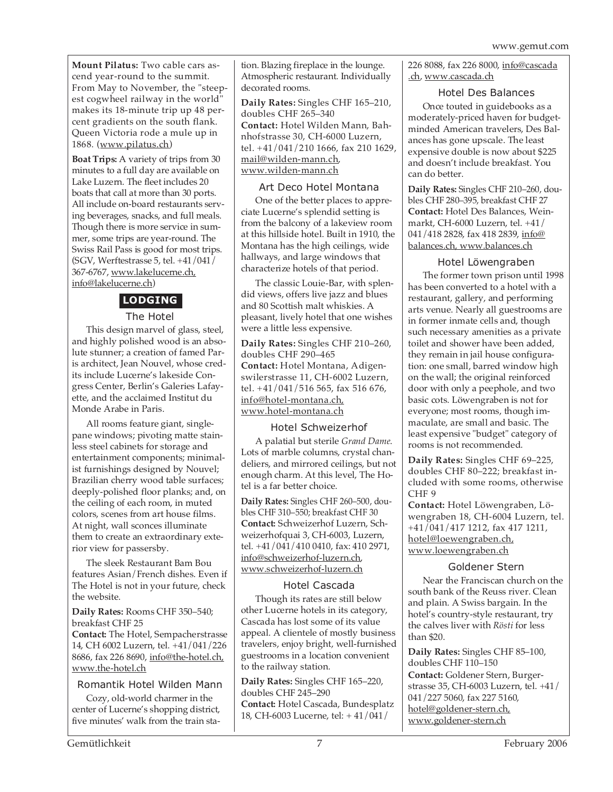**Mount Pilatus:** Two cable cars ascend year-round to the summit. From May to November, the "steepest cogwheel railway in the world" makes its 18-minute trip up 48 percent gradients on the south flank. Queen Victoria rode a mule up in 1868. (www.pilatus.ch)

**Boat Trips:** A variety of trips from 30 minutes to a full day are available on Lake Luzern. The fleet includes 20 boats that call at more than 30 ports. All include on-board restaurants serving beverages, snacks, and full meals. Though there is more service in summer, some trips are year-round. The Swiss Rail Pass is good for most trips. (SGV, Werftestrasse 5, tel. +41/041/ 367-6767, www.lakelucerne.ch, info@lakelucerne.ch)

# **LODGING**

#### The Hotel

This design marvel of glass, steel, and highly polished wood is an absolute stunner; a creation of famed Paris architect, Jean Nouvel, whose credits include Lucerne's lakeside Congress Center, Berlin's Galeries Lafayette, and the acclaimed Institut du Monde Arabe in Paris.

All rooms feature giant, singlepane windows; pivoting matte stainless steel cabinets for storage and entertainment components; minimalist furnishings designed by Nouvel; Brazilian cherry wood table surfaces; deeply-polished floor planks; and, on the ceiling of each room, in muted colors, scenes from art house films. At night, wall sconces illuminate them to create an extraordinary exterior view for passersby.

The sleek Restaurant Bam Bou features Asian/French dishes. Even if The Hotel is not in your future, check the website.

**Daily Rates:** Rooms CHF 350–540; breakfast CHF 25

**Contact:** The Hotel, Sempacherstrasse 14, CH 6002 Luzern, tel. +41/041/226 8686, fax 226 8690, info@the-hotel.ch, www.the-hotel.ch

#### Romantik Hotel Wilden Mann

Cozy, old-world charmer in the center of Lucerne's shopping district, five minutes' walk from the train station. Blazing fireplace in the lounge. Atmospheric restaurant. Individually decorated rooms.

**Daily Rates:** Singles CHF 165–210, doubles CHF 265–340 **Contact:** Hotel Wilden Mann, Bahnhofstrasse 30, CH-6000 Luzern, tel. +41/041/210 1666, fax 210 1629, mail@wilden-mann.ch, www.wilden-mann.ch

#### Art Deco Hotel Montana

One of the better places to appreciate Lucerne's splendid setting is from the balcony of a lakeview room at this hillside hotel. Built in 1910, the Montana has the high ceilings, wide hallways, and large windows that characterize hotels of that period.

The classic Louie-Bar, with splendid views, offers live jazz and blues and 80 Scottish malt whiskies. A pleasant, lively hotel that one wishes were a little less expensive.

**Daily Rates:** Singles CHF 210–260, doubles CHF 290–465 **Contact:** Hotel Montana, Adigenswilerstrasse 11, CH-6002 Luzern, tel. +41/041/516 565, fax 516 676, info@hotel-montana.ch, www.hotel-montana.ch

#### Hotel Schweizerhof

A palatial but sterile *Grand Dame*. Lots of marble columns, crystal chandeliers, and mirrored ceilings, but not enough charm. At this level, The Hotel is a far better choice.

**Daily Rates:** Singles CHF 260–500, doubles CHF 310–550; breakfast CHF 30 **Contact:** Schweizerhof Luzern, Schweizerhofquai 3, CH-6003, Luzern, tel. +41/041/410 0410, fax: 410 2971, info@schweizerhof-luzern.ch, www.schweizerhof-luzern.ch

#### Hotel Cascada

Though its rates are still below other Lucerne hotels in its category, Cascada has lost some of its value appeal. A clientele of mostly business travelers, enjoy bright, well-furnished guestrooms in a location convenient to the railway station.

**Daily Rates:** Singles CHF 165–220, doubles CHF 245–290 **Contact:** Hotel Cascada, Bundesplatz 18, CH-6003 Lucerne, tel: + 41/041/

226 8088, fax 226 8000, info@cascada .ch, www.cascada.ch

#### Hotel Des Balances

Once touted in guidebooks as a moderately-priced haven for budgetminded American travelers, Des Balances has gone upscale. The least expensive double is now about \$225 and doesn't include breakfast. You can do better.

**Daily Rates:** Singles CHF 210–260, doubles CHF 280–395, breakfast CHF 27 **Contact:** Hotel Des Balances, Weinmarkt, CH-6000 Luzern, tel. +41/ 041/418 2828, fax 418 2839, info@ balances.ch, www.balances.ch

#### Hotel Löwengraben

The former town prison until 1998 has been converted to a hotel with a restaurant, gallery, and performing arts venue. Nearly all guestrooms are in former inmate cells and, though such necessary amenities as a private toilet and shower have been added, they remain in jail house configuration: one small, barred window high on the wall; the original reinforced door with only a peephole, and two basic cots. Löwengraben is not for everyone; most rooms, though immaculate, are small and basic. The least expensive "budget" category of rooms is not recommended.

**Daily Rates:** Singles CHF 69–225, doubles CHF 80–222; breakfast included with some rooms, otherwise CHF 9

**Contact:** Hotel Löwengraben, Löwengraben 18, CH-6004 Luzern, tel. +41/041/417 1212, fax 417 1211, hotel@loewengraben.ch, www.loewengraben.ch

#### Goldener Stern

Near the Franciscan church on the south bank of the Reuss river. Clean and plain. A Swiss bargain. In the hotel's country-style restaurant, try the calves liver with *Rösti* for less than \$20.

**Daily Rates:** Singles CHF 85–100, doubles CHF 110–150 **Contact:** Goldener Stern, Burgerstrasse 35, CH-6003 Luzern, tel. +41/ 041/227 5060, fax 227 5160, hotel@goldener-stern.ch, www.goldener-stern.ch